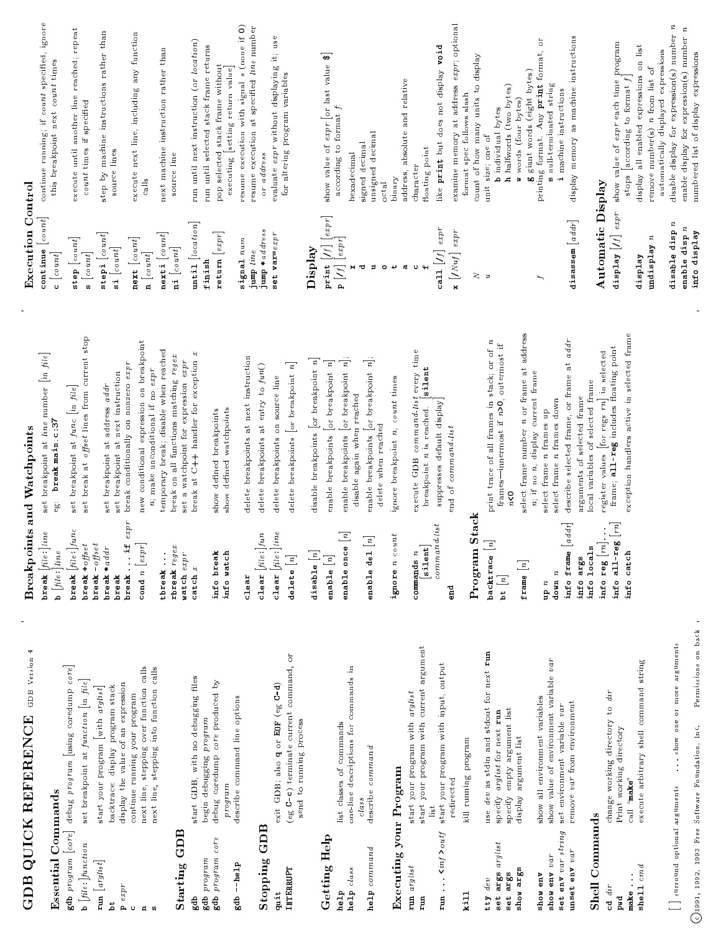|                                                         | $\overline{\phantom{a}}$<br><b>GDB</b> Version<br>GDB QUICK REFERENCE       |                                                                  | <b>Breakpoints and Watchpoints</b>                                                        | <b>Execution Control</b>                                                                                                                                     |                                                                                         |
|---------------------------------------------------------|-----------------------------------------------------------------------------|------------------------------------------------------------------|-------------------------------------------------------------------------------------------|--------------------------------------------------------------------------------------------------------------------------------------------------------------|-----------------------------------------------------------------------------------------|
| <b>Essential Commands</b>                               |                                                                             | $\texttt{break}$ $\textit{file:}\]$ line<br>b $[file:] line$     | set breakpoint at <i>line</i> number [in file]<br>break main.c:37<br>eio                  | $\texttt{continue}\begin{bmatrix} \textit{count} \end{bmatrix}$<br>$c\ \left[\,count\right]$                                                                 | continue running; if count specified, ignore<br>this breakpoint next count times        |
|                                                         | gdb program [core] debug program [using coredump core]                      | $\texttt{break}[file:] \textit{func}$                            | set breakpoint at func [in file]                                                          |                                                                                                                                                              |                                                                                         |
| $\mathbf{b}$ [file:] function                           | set breakpoint at function [in file]                                        | <b>break</b> $+$ <i>offset</i><br><b>break</b> $-$ <i>offset</i> | set break at offset lines from current stop                                               | $\begin{bmatrix} \texttt{step}\; \left[\; \texttt{count}\right] \\ \texttt{s}\; \left[\; \texttt{count}\right] \end{bmatrix}$                                | execute until another line reached; repeat<br>count times if specified                  |
| $\mathbf{r}$ un $\begin{bmatrix} arglist \end{bmatrix}$ | start your program with arglist                                             | $break * addr$                                                   |                                                                                           | $\texttt{stepi} \; [\textit{count}]$                                                                                                                         | step by machine instructions rather than                                                |
| ż                                                       | backtrace: display program stack                                            | break                                                            | set breakpoint at next instruction<br>set breakpoint at address addr                      | $\mathbf{s}$ $\mathbf{i}$ $\left[\textit{count}\right]$                                                                                                      | source lines                                                                            |
| $expr$<br>$\mathbf{p}_i$                                | display the value of an expression<br>continue running your program         | $\ldots$ if $expr$<br>break                                      | break conditionally on nonzero expr                                                       |                                                                                                                                                              | execute next line, including any function                                               |
|                                                         | next line, stepping over function calls                                     | $\texttt{cond}$ n $\big[\textit{expr}\big]$                      | new conditional expression on breakpoint<br>n; make unconditional if no expr              | $\begin{bmatrix} \texttt{next} \ [ \texttt{count} ] \\ \texttt{n} \end{bmatrix}$                                                                             | calls                                                                                   |
|                                                         | next line, stepping into function calls                                     | tbreak                                                           | temporary break; disable when reached                                                     | $nexti$ [count]                                                                                                                                              | next machine instruction rather than                                                    |
| ${\bf Starting}$ GDB                                    |                                                                             | $r$ break $regex$                                                | break on all functions matching regex                                                     | $n i$ [count]                                                                                                                                                | source line                                                                             |
| gdb                                                     | start GDB, with no debugging files                                          | watch expr<br>$\c{a}$ tch $x$                                    | break at C++ handler for exception x<br>set a watchpoint for expression expr              | until $\begin{bmatrix} \text{location} \\ \end{bmatrix}$                                                                                                     | run until next instruction (or location)                                                |
| gdb program                                             | begin debugging program                                                     |                                                                  |                                                                                           | finish                                                                                                                                                       | run until selected stack frame returns                                                  |
| gdb program core                                        | debug coredump core produced by                                             | info break                                                       | show defined breakpoints                                                                  | $r$ eturn $\begin{bmatrix} expr \end{bmatrix}$                                                                                                               | pop selected stack frame without                                                        |
| gdb-help                                                | describe command line options<br>program                                    | info watch                                                       | show defined watchpoints                                                                  |                                                                                                                                                              | executing setting return value                                                          |
|                                                         |                                                                             | $_{clear}$                                                       | delete breakpoints at next instruction                                                    | $\sin a 1$ $num$                                                                                                                                             | resume execution with signal s (none if 0)<br>resume execution at specified line number |
| <b>Stopping GDB</b>                                     |                                                                             | fun<br>clear $[\mathrm{file} :$                                  | delete breakpoints at entry to fun()                                                      | jump *address<br>jump line                                                                                                                                   | or address                                                                              |
| quit                                                    | exit GDB; also q or EOF (eg C-d)                                            | $_{line}$<br>clear $ $ file:                                     | delete breakpoints on source line                                                         | set var=expr                                                                                                                                                 | evaluate expr without displaying it; use                                                |
| INTERRUPT                                               | (eg C-c) terminate current command, or                                      | dellete[n]                                                       | $\mathbf{r}$<br>delete breakpoints or breakpoint                                          |                                                                                                                                                              | for altering program variables                                                          |
|                                                         | send to running process                                                     | $_{\texttt{disable}}\left[ n\right]$                             | disable breakpoints $\begin{bmatrix}$ or breakpoint $n \end{bmatrix}$                     | Display                                                                                                                                                      |                                                                                         |
| Getting Help                                            |                                                                             |                                                                  |                                                                                           |                                                                                                                                                              | show value of expr or last value \$                                                     |
| help                                                    | list classes of commands                                                    | enable $\begin{bmatrix} n \end{bmatrix}$                         | enable breakpoints or breakpoint n                                                        | $\label{eq:print} \begin{array}{l} \textbf{print}\ \big[ / f \big] \ \big[ exp \, r \big] \\ \textbf{p}\ \big[ / f \big] \ \big[ exp \, r \big] \end{array}$ | according to format $f$                                                                 |
| help class                                              | one-line descriptions for commands in                                       | enable once $\begin{bmatrix} n \end{bmatrix}$                    | $\frac{1}{n}$<br>enable breakpoints or breakpoint<br>disable again when reached           |                                                                                                                                                              | hexadecimal                                                                             |
| help command                                            | describe command<br>class                                                   | $\begin{bmatrix} n \end{bmatrix}$<br>enable del                  | enable breakpoints or breakpoint n;<br>delete when reached                                | Ţ,<br>Þ                                                                                                                                                      | unsigned decimal<br>signed decimal                                                      |
| Executing your Program                                  |                                                                             | $_{unt}$<br>ignore n co                                          | ignore breakpoint n, count times                                                          | ب<br>$\circ$                                                                                                                                                 | binary<br>$_{\rm octal}$                                                                |
|                                                         |                                                                             |                                                                  |                                                                                           | $\mathfrak{m}$                                                                                                                                               | address, absolute and relative                                                          |
| run arglist<br>run                                      | start your program with current argument<br>start your program with arglist | silent<br>commands $n$                                           | execute GDB command-list every time<br>breakpoint n is reached. silent                    |                                                                                                                                                              | floating point<br>character                                                             |
| run $\ldots$ $\langle inf \rangle$                      | start your program with input, output<br>list                               | command                                                          | suppresses default display                                                                | $\operatorname{cal1}\left[ff\right]$ $_{expr}$                                                                                                               | like print but does not display void                                                    |
|                                                         | redirected                                                                  | $\frac{d}{dt}$                                                   | end of command-list                                                                       | $\mathbf{x}$ $\left[$ <i>INuf</i> $\right]$ expr                                                                                                             | examine memory at address expr; optional                                                |
| k111                                                    | kill running program                                                        | <b>Stack</b><br>Program                                          |                                                                                           |                                                                                                                                                              | format spec follows slash                                                               |
| tty dev                                                 | use dev as stdin and stdout for next run                                    |                                                                  |                                                                                           | $\geq$<br>z.                                                                                                                                                 | count of how many units to display<br>unit size; one of                                 |
| argusing its<br>5e <sub>5</sub>                         | specify arglist for next run                                                | backtrace[n]                                                     | print trace of all frames in stack; or of n<br>-innermost if n>0, outermost if<br>frames- |                                                                                                                                                              | <b>b</b> individual bytes                                                               |
| set args                                                | specify empty argument list                                                 | bt $\begin{bmatrix} n \end{bmatrix}$                             | n < 0                                                                                     |                                                                                                                                                              | h halfwords (two bytes)                                                                 |
| spos args                                               | display argument list                                                       | frame $\begin{bmatrix} n \end{bmatrix}$                          | select frame number n or frame at address                                                 |                                                                                                                                                              | words (four bytes)                                                                      |
| show env                                                | show all environment variables                                              |                                                                  | n; if no n, display current frame                                                         | $\ddot{}$                                                                                                                                                    | printing format. Any print format, or<br>g giant words (eight bytes)                    |
| show env var                                            | show value of environment variable var                                      | $n$ qu                                                           | select frame n frames up                                                                  |                                                                                                                                                              | s null-terminated string                                                                |
| set env var string                                      | set environment variable var                                                | $d$ own $n$                                                      | select frame n frames down                                                                |                                                                                                                                                              | i machine instructions                                                                  |
| unset env var                                           | remove var from environment                                                 | info frame<br>info args                                          | describe selected frame, or frame at addr<br>arguments of selected frame                  | disassem $\begin{bmatrix} a d d r \end{bmatrix}$                                                                                                             | display memory as machine instructions                                                  |
| <b>Shell Commands</b>                                   |                                                                             | info locals                                                      | local variables of selected frame                                                         |                                                                                                                                                              |                                                                                         |
| $cd$ $dir$                                              | change working directory to dir                                             | info reg $\left[ rn\right]$                                      | register values for regs $rn$ in selected                                                 | Automatic Display                                                                                                                                            |                                                                                         |
| pwd<br>D                                                | working directory<br>Print                                                  | info all-reg $\lfloor rn \rfloor$                                | frame; all-reg includes floating point                                                    | display $[f]$ $_{expr}$                                                                                                                                      | show value of expreach time program<br>stops according to format f                      |
| make                                                    | $\mathbf{q}$ and $\mathbf{q}$ . Il and                                      | info catch                                                       | exception handlers active in selected frame                                               |                                                                                                                                                              | display all enabled expressions on                                                      |
| $shel1$ $cmd$                                           | execute arbitrary shell command string                                      |                                                                  |                                                                                           | R<br>undisplay<br>display                                                                                                                                    | list<br>remove number(s) <i>n</i> from list of                                          |
|                                                         |                                                                             |                                                                  |                                                                                           |                                                                                                                                                              | automatically displayed expressions                                                     |
| surround optional arguments                             | show one or more arguments                                                  |                                                                  |                                                                                           | disable disp n                                                                                                                                               | $\boldsymbol{n}$<br>disable display for expression(s) number                            |
|                                                         |                                                                             |                                                                  |                                                                                           | enable disp n                                                                                                                                                | $\boldsymbol{n}$<br>enable display for expression(s) number                             |
|                                                         | Permissions on back<br>1991, 1992, 1993 Free Software Foundation, Inc.      |                                                                  |                                                                                           | info display                                                                                                                                                 | numbered list of display expressions                                                    |

 $\bigodot$ 1991, 1992, 1993 Free Software Foundation, Inc. Permissions on back a